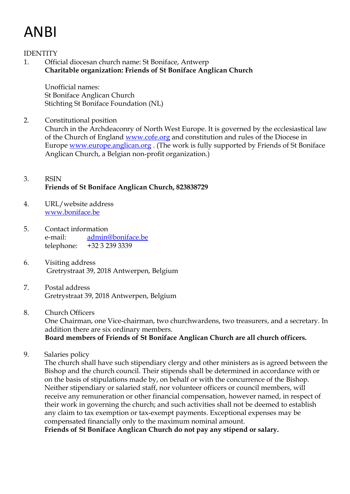# ANBI

IDENTITY

1. Official diocesan church name: St Boniface, Antwerp **Charitable organization: Friends of St Boniface Anglican Church**

Unofficial names: St Boniface Anglican Church Stichting St Boniface Foundation (NL)

2. Constitutional position Church in the Archdeaconry of North West Europe. It is governed by the ecclesiastical law of the Church of England [www.cofe.org](http://www.cofe.org/) and constitution and rules of the Diocese in Europe [www.europe.anglican.org](http://www.europe.anglican.org/) . (The work is fully supported by Friends of St Boniface Anglican Church, a Belgian non-profit organization.)

## 3. RSIN **Friends of St Boniface Anglican Church, 823838729**

- 4. URL/website address [www.boniface.be](http://www.boniface.be/)
- 5. Contact information e-mail: admin@boniface.be telephone: +32 3 239 3339
- 6. Visiting address Gretrystraat 39, 2018 Antwerpen, Belgium
- 7. Postal address Gretrystraat 39, 2018 Antwerpen, Belgium
- 8. Church Officers

One Chairman, one Vice-chairman, two churchwardens, two treasurers, and a secretary. In addition there are six ordinary members.

## **Board members of Friends of St Boniface Anglican Church are all church officers.**

9. Salaries policy

The church shall have such stipendiary clergy and other ministers as is agreed between the Bishop and the church council. Their stipends shall be determined in accordance with or on the basis of stipulations made by, on behalf or with the concurrence of the Bishop. Neither stipendiary or salaried staff, nor volunteer officers or council members, will receive any remuneration or other financial compensation, however named, in respect of their work in governing the church; and such activities shall not be deemed to establish any claim to tax exemption or tax-exempt payments. Exceptional expenses may be compensated financially only to the maximum nominal amount.

**Friends of St Boniface Anglican Church do not pay any stipend or salary.**